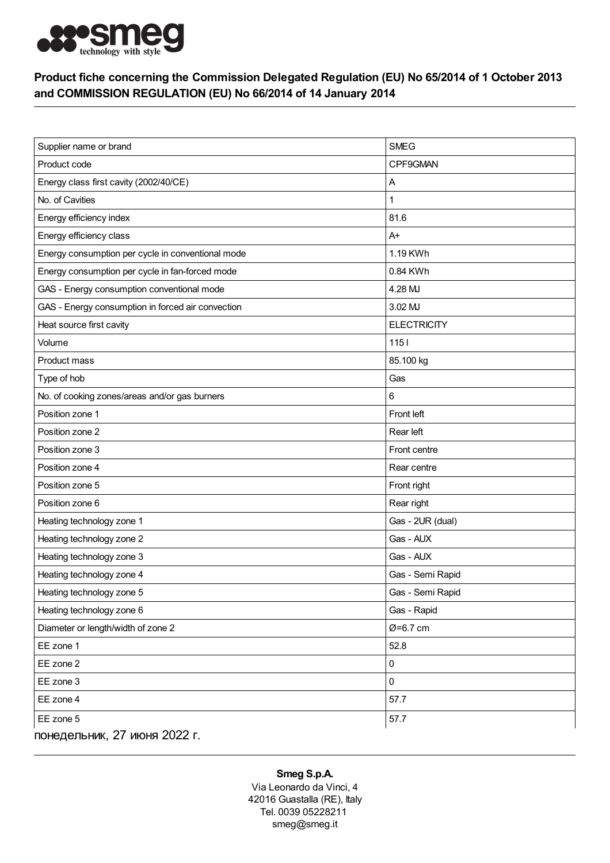

## Product fiche concerning the Commission Delegated Regulation (EU) No 65/2014 of 1 October 2013 and COMMISSION REGULATION (EU) No 66/2014 of 14 January 2014

| Supplier name or brand                            | <b>SMEG</b>        |
|---------------------------------------------------|--------------------|
| Product code                                      | CPF9GMAN           |
| Energy class first cavity (2002/40/CE)            | Α                  |
| No. of Cavities                                   | 1                  |
|                                                   |                    |
| Energy efficiency index                           | 81.6               |
| Energy efficiency class                           | $A+$               |
| Energy consumption per cycle in conventional mode | 1.19 KWh           |
| Energy consumption per cycle in fan-forced mode   | 0.84 KWh           |
| GAS - Energy consumption conventional mode        | 4.28 MJ            |
| GAS - Energy consumption in forced air convection | 3.02 MJ            |
| Heat source first cavity                          | <b>ELECTRICITY</b> |
| Volume                                            | $1151$             |
| Product mass                                      | 85.100 kg          |
| Type of hob                                       | Gas                |
| No. of cooking zones/areas and/or gas burners     | 6                  |
| Position zone 1                                   | Front left         |
| Position zone 2                                   | Rear left          |
| Position zone 3                                   | Front centre       |
| Position zone 4                                   | Rear centre        |
| Position zone 5                                   | Front right        |
| Position zone 6                                   | Rear right         |
| Heating technology zone 1                         | Gas - 2UR (dual)   |
| Heating technology zone 2                         | Gas - AUX          |
| Heating technology zone 3                         | Gas - AUX          |
| Heating technology zone 4                         | Gas - Semi Rapid   |
| Heating technology zone 5                         | Gas - Semi Rapid   |
| Heating technology zone 6                         | Gas - Rapid        |
| Diameter or length/width of zone 2                | Ø=6.7 cm           |
| EE zone 1                                         | 52.8               |
| EE zone 2                                         | 0                  |
| EE zone 3                                         | 0                  |
| EE zone 4                                         | 57.7               |
| EE zone 5                                         | 57.7               |
| понедельник, 27 июня 2022 г.                      |                    |

## Smeg S.p.A.

Via Leonardo da Vinci, 4 42016 Guastalla (RE), Italy Tel. 0039 05228211 smeg@smeg.it